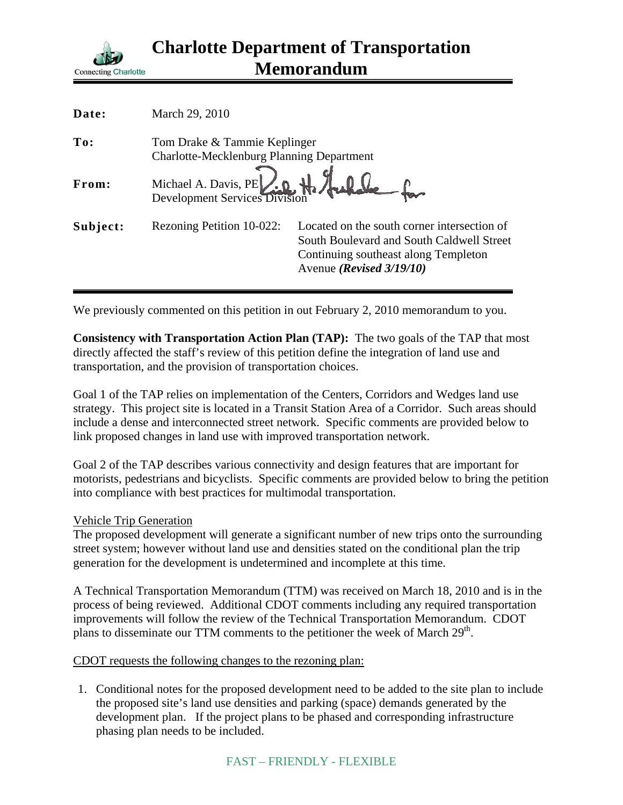

| Date:    | March 29, 2010                                                                   |                                                                                                                                                              |
|----------|----------------------------------------------------------------------------------|--------------------------------------------------------------------------------------------------------------------------------------------------------------|
| To:      | Tom Drake & Tammie Keplinger<br><b>Charlotte-Mecklenburg Planning Department</b> |                                                                                                                                                              |
| From:    | Michael A. Davis, PE And H. Auchen                                               |                                                                                                                                                              |
| Subject: | Rezoning Petition 10-022:                                                        | Located on the south corner intersection of<br>South Boulevard and South Caldwell Street<br>Continuing southeast along Templeton<br>Avenue (Revised 3/19/10) |

We previously commented on this petition in out February 2, 2010 memorandum to you.

**Consistency with Transportation Action Plan (TAP):** The two goals of the TAP that most directly affected the staff's review of this petition define the integration of land use and transportation, and the provision of transportation choices.

Goal 1 of the TAP relies on implementation of the Centers, Corridors and Wedges land use strategy. This project site is located in a Transit Station Area of a Corridor. Such areas should include a dense and interconnected street network. Specific comments are provided below to link proposed changes in land use with improved transportation network.

Goal 2 of the TAP describes various connectivity and design features that are important for motorists, pedestrians and bicyclists. Specific comments are provided below to bring the petition into compliance with best practices for multimodal transportation.

## Vehicle Trip Generation

The proposed development will generate a significant number of new trips onto the surrounding street system; however without land use and densities stated on the conditional plan the trip generation for the development is undetermined and incomplete at this time.

A Technical Transportation Memorandum (TTM) was received on March 18, 2010 and is in the process of being reviewed. Additional CDOT comments including any required transportation improvements will follow the review of the Technical Transportation Memorandum. CDOT plans to disseminate our TTM comments to the petitioner the week of March  $29<sup>th</sup>$ .

CDOT requests the following changes to the rezoning plan:

1. Conditional notes for the proposed development need to be added to the site plan to include the proposed site's land use densities and parking (space) demands generated by the development plan. If the project plans to be phased and corresponding infrastructure phasing plan needs to be included.